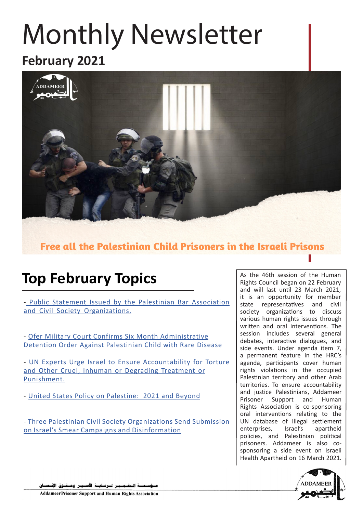# **Monthly Newsletter**

### **2021 February**



Free all the Palestinian Child Prisoners in the Israeli Prisons

### **Top February Topics**

- Public Statement Issued by the Palestinian Bar Association and Civil Society Organizations.

- Ofer Military Court Confirms Six Month Administrative Detention Order Against Palestinian Child with Rare Disease

- UN Experts Urge Israel to Ensure Accountability for Torture and Other Cruel, Inhuman or Degrading Treatment or [.Punishment](http://addameer.org/news/un-experts-urge-israel-ensure-accountability-torture-and-other-cruel-inhuman-or-degrading)

- United States Policy on Palestine: 2021 and Bevond

- Three Palestinian Civil Society Organizations Send Submission on Israel's Smear Campaigns and Disinformation

As the 46th session of the Human Rights Council began on 22 February and will last until 23 March 2021, it is an opportunity for member state representatives and civil society organizations to discuss various human rights issues through written and oral interventions. The session includes several general debates, interactive dialogues, and side events. Under agenda item 7, a permanent feature in the HRC's agenda, participants cover human rights violations in the occupied Palestinian territory and other Arab territories. To ensure accountability and justice Palestinians, Addameer Prisoner Support and Human Rights Association is co-sponsoring oral interventions relating to the UN database of illegal settlement enterprises, Israel's apartheid policies, and Palestinian political sponsoring a side event on Israeli prisoners. Addameer is also co-Health Apartheid on 16 March 2021.



ـة الــضــمــيـر لــرعــايــة الأســيـر وهــقــوق الإنــ

**Addameer Prisoner Support and Human Rights Association**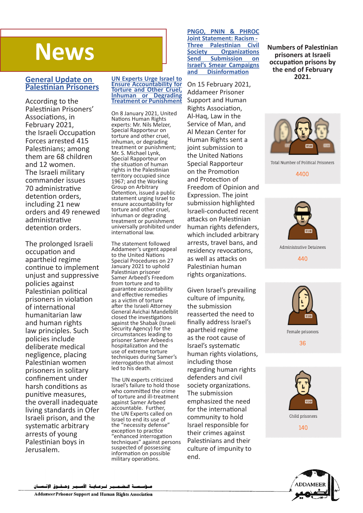### **News**

#### **General Update on Palestinian Prisoners**

According to the Palestinian Prisoners' Associations, in February 2021,<br>the Israeli Occupation Forces arrested 415 Palestinians: among them are 68 children and 12 women. The Israeli military commander issues administrative 70 detention orders, including 21 new orders and 49 renewed administrative detention orders.

The prolonged Israeli occupation and apartheid regime continue to implement unjust and suppressive policies against Palestinian political prisoners in violation of international humanitarian law and human rights law principles. Such policies include deliberate medical negligence, placing Palestinian women prisoners in solitary confinement under harsh conditions as punitive measures, the overall inadequate living standards in Ofer Israeli prison, and the systematic arbitrary arrests of young Palestinian boys in .Jerusalem

#### **UN Experts Urge Israel to Ensure Accountability for Torture and Other Cruel, Inhuman or Degrading Treatment or Punishment**

On 8 January 2021, United **Nations Human Rights** experts: Mr. Nils Melzer. Special Rapporteur on torture and other cruel, inhuman, or degrading treatment or punishment; Mr. S. Michael Lynk, Special Rapporteur on the situation of human rights in the Palestinian territory occupied since 1967: and the Working Group on Arbitrary Detention, issued a public statement urging Israel to ensure accountability for torture and other cruel, inhuman or degrading treatment or punishment universally prohibited under international law.

The statement followed Addameer's urgent appeal to the United Nations Special Procedures on 27 January 2021 to uphold Palestinian prisoner Samer Arbeed's Freedom from torture and to guarantee accountability and effective remedies as a victim of torture after the Israeli Attorney General Avichai Mandelblit closed the investigations against the Shabak (Israeli Security Agency) for the circumstances leading to prisoner Samer Arbeed>s hospitalization and the use of extreme torture techniques during Samer's interrogation that almost led to his death.

The UN experts criticized Israel's failure to hold those who committed the crime of torture and ill-treatment against Samer Arbeed accountable. Further, the UN Experts called on Israel to end its use of the "necessity defense" exception to practice "enhanced interrogation techniques" against persons suspected of possessing information on possible military operations.

#### **PNGO, PNIN & PHROC** *<u>Ioint Statement: Racism -</u>*<br>**Three Palestinian Civil Society Organizations**<br> **Send Submission on Submission** on **Israel's Smear Campaigns Disinformation and**

On 15 February 2021, Addameer Prisoner Support and Human Rights Association, Al-Haq, Law in the Service of Man, and Al Mezan Center for Human Rights sent a joint submission to the United Nations Special Rapporteur on the Promotion and Protection of Freedom of Opinion and Expression. The joint submission highlighted Israeli-conducted-recent attacks on Palestinian human rights defenders, which included arbitrary arrests, travel bans, and residency revocations, as well as attacks on Palestinian human rights organizations.

Given Israel's prevailing culture of impunity, the submission reasserted the need to finally address Israel's apartheid regime as the root cause of Israel's systematic human rights violations, including those regarding human rights defenders and civil society organizations. The submission emphasized the need for the international community to hold Israel responsible for their crimes against Palestinians and their culture of impunity to end.

**Numbers of Palestinian prisoners** at Israeli *<u>occupation</u>* prisons by the end of **February 2021.**



Total Number of Political Prisoners

4400



Administrative Detainees

440



Female prisoners

36



140